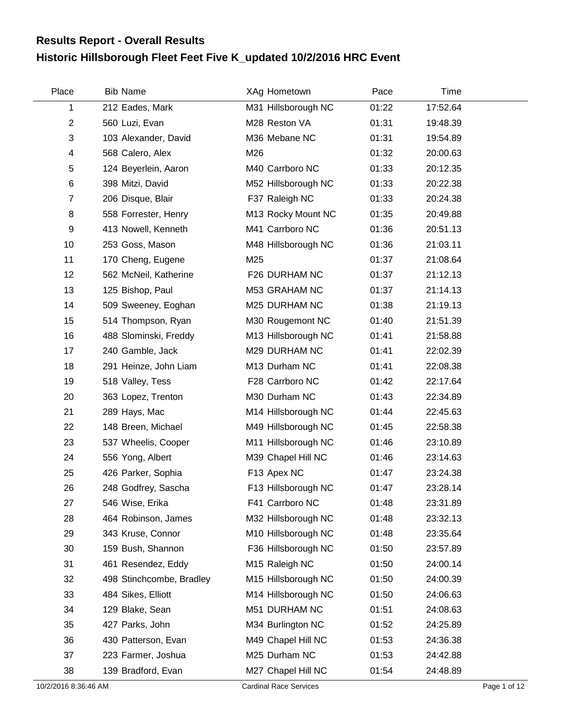## **Historic Hillsborough Fleet Feet Five K\_updated 10/2/2016 HRC Event Results Report - Overall Results**

| Place          | <b>Bib Name</b>          | XAg Hometown        | Pace  | Time     |  |
|----------------|--------------------------|---------------------|-------|----------|--|
| 1              | 212 Eades, Mark          | M31 Hillsborough NC | 01:22 | 17:52.64 |  |
| $\overline{2}$ | 560 Luzi, Evan           | M28 Reston VA       | 01:31 | 19:48.39 |  |
| 3              | 103 Alexander, David     | M36 Mebane NC       | 01:31 | 19:54.89 |  |
| 4              | 568 Calero, Alex         | M26                 | 01:32 | 20:00.63 |  |
| 5              | 124 Beyerlein, Aaron     | M40 Carrboro NC     | 01:33 | 20:12.35 |  |
| 6              | 398 Mitzi, David         | M52 Hillsborough NC | 01:33 | 20:22.38 |  |
| $\overline{7}$ | 206 Disque, Blair        | F37 Raleigh NC      | 01:33 | 20:24.38 |  |
| 8              | 558 Forrester, Henry     | M13 Rocky Mount NC  | 01:35 | 20:49.88 |  |
| 9              | 413 Nowell, Kenneth      | M41 Carrboro NC     | 01:36 | 20:51.13 |  |
| 10             | 253 Goss, Mason          | M48 Hillsborough NC | 01:36 | 21:03.11 |  |
| 11             | 170 Cheng, Eugene        | M25                 | 01:37 | 21:08.64 |  |
| 12             | 562 McNeil, Katherine    | F26 DURHAM NC       | 01:37 | 21:12.13 |  |
| 13             | 125 Bishop, Paul         | M53 GRAHAM NC       | 01:37 | 21:14.13 |  |
| 14             | 509 Sweeney, Eoghan      | M25 DURHAM NC       | 01:38 | 21:19.13 |  |
| 15             | 514 Thompson, Ryan       | M30 Rougemont NC    | 01:40 | 21:51.39 |  |
| 16             | 488 Slominski, Freddy    | M13 Hillsborough NC | 01:41 | 21:58.88 |  |
| 17             | 240 Gamble, Jack         | M29 DURHAM NC       | 01:41 | 22:02.39 |  |
| 18             | 291 Heinze, John Liam    | M13 Durham NC       | 01:41 | 22:08.38 |  |
| 19             | 518 Valley, Tess         | F28 Carrboro NC     | 01:42 | 22:17.64 |  |
| 20             | 363 Lopez, Trenton       | M30 Durham NC       | 01:43 | 22:34.89 |  |
| 21             | 289 Hays, Mac            | M14 Hillsborough NC | 01:44 | 22:45.63 |  |
| 22             | 148 Breen, Michael       | M49 Hillsborough NC | 01:45 | 22:58.38 |  |
| 23             | 537 Wheelis, Cooper      | M11 Hillsborough NC | 01:46 | 23:10.89 |  |
| 24             | 556 Yong, Albert         | M39 Chapel Hill NC  | 01:46 | 23:14.63 |  |
| 25             | 426 Parker, Sophia       | F13 Apex NC         | 01:47 | 23:24.38 |  |
| 26             | 248 Godfrey, Sascha      | F13 Hillsborough NC | 01:47 | 23:28.14 |  |
| 27             | 546 Wise, Erika          | F41 Carrboro NC     | 01:48 | 23:31.89 |  |
| 28             | 464 Robinson, James      | M32 Hillsborough NC | 01:48 | 23:32.13 |  |
| 29             | 343 Kruse, Connor        | M10 Hillsborough NC | 01:48 | 23:35.64 |  |
| 30             | 159 Bush, Shannon        | F36 Hillsborough NC | 01:50 | 23:57.89 |  |
| 31             | 461 Resendez, Eddy       | M15 Raleigh NC      | 01:50 | 24:00.14 |  |
| 32             | 498 Stinchcombe, Bradley | M15 Hillsborough NC | 01:50 | 24:00.39 |  |
| 33             | 484 Sikes, Elliott       | M14 Hillsborough NC | 01:50 | 24:06.63 |  |
| 34             | 129 Blake, Sean          | M51 DURHAM NC       | 01:51 | 24:08.63 |  |
| 35             | 427 Parks, John          | M34 Burlington NC   | 01:52 | 24:25.89 |  |
| 36             | 430 Patterson, Evan      | M49 Chapel Hill NC  | 01:53 | 24:36.38 |  |
| 37             | 223 Farmer, Joshua       | M25 Durham NC       | 01:53 | 24:42.88 |  |
| 38             | 139 Bradford, Evan       | M27 Chapel Hill NC  | 01:54 | 24:48.89 |  |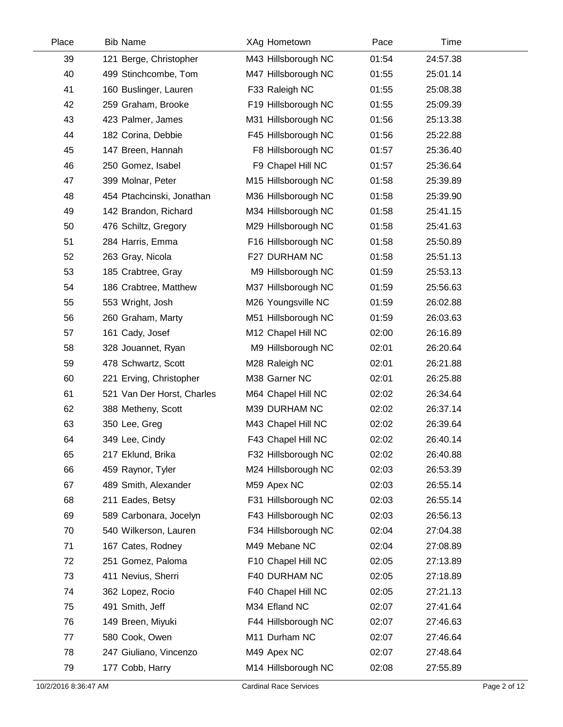| Place | <b>Bib Name</b>            | XAg Hometown        | Pace  | Time     |  |
|-------|----------------------------|---------------------|-------|----------|--|
| 39    | 121 Berge, Christopher     | M43 Hillsborough NC | 01:54 | 24:57.38 |  |
| 40    | 499 Stinchcombe, Tom       | M47 Hillsborough NC | 01:55 | 25:01.14 |  |
| 41    | 160 Buslinger, Lauren      | F33 Raleigh NC      | 01:55 | 25:08.38 |  |
| 42    | 259 Graham, Brooke         | F19 Hillsborough NC | 01:55 | 25:09.39 |  |
| 43    | 423 Palmer, James          | M31 Hillsborough NC | 01:56 | 25:13.38 |  |
| 44    | 182 Corina, Debbie         | F45 Hillsborough NC | 01:56 | 25:22.88 |  |
| 45    | 147 Breen, Hannah          | F8 Hillsborough NC  | 01:57 | 25:36.40 |  |
| 46    | 250 Gomez, Isabel          | F9 Chapel Hill NC   | 01:57 | 25:36.64 |  |
| 47    | 399 Molnar, Peter          | M15 Hillsborough NC | 01:58 | 25:39.89 |  |
| 48    | 454 Ptachcinski, Jonathan  | M36 Hillsborough NC | 01:58 | 25:39.90 |  |
| 49    | 142 Brandon, Richard       | M34 Hillsborough NC | 01:58 | 25:41.15 |  |
| 50    | 476 Schiltz, Gregory       | M29 Hillsborough NC | 01:58 | 25:41.63 |  |
| 51    | 284 Harris, Emma           | F16 Hillsborough NC | 01:58 | 25:50.89 |  |
| 52    | 263 Gray, Nicola           | F27 DURHAM NC       | 01:58 | 25:51.13 |  |
| 53    | 185 Crabtree, Gray         | M9 Hillsborough NC  | 01:59 | 25:53.13 |  |
| 54    | 186 Crabtree, Matthew      | M37 Hillsborough NC | 01:59 | 25:56.63 |  |
| 55    | 553 Wright, Josh           | M26 Youngsville NC  | 01:59 | 26:02.88 |  |
| 56    | 260 Graham, Marty          | M51 Hillsborough NC | 01:59 | 26:03.63 |  |
| 57    | 161 Cady, Josef            | M12 Chapel Hill NC  | 02:00 | 26:16.89 |  |
| 58    | 328 Jouannet, Ryan         | M9 Hillsborough NC  | 02:01 | 26:20.64 |  |
| 59    | 478 Schwartz, Scott        | M28 Raleigh NC      | 02:01 | 26:21.88 |  |
| 60    | 221 Erving, Christopher    | M38 Garner NC       | 02:01 | 26:25.88 |  |
| 61    | 521 Van Der Horst, Charles | M64 Chapel Hill NC  | 02:02 | 26:34.64 |  |
| 62    | 388 Metheny, Scott         | M39 DURHAM NC       | 02:02 | 26:37.14 |  |
| 63    | 350 Lee, Greg              | M43 Chapel Hill NC  | 02:02 | 26:39.64 |  |
| 64    | 349 Lee, Cindy             | F43 Chapel Hill NC  | 02:02 | 26:40.14 |  |
| 65    | 217 Eklund, Brika          | F32 Hillsborough NC | 02:02 | 26:40.88 |  |
| 66    | 459 Raynor, Tyler          | M24 Hillsborough NC | 02:03 | 26:53.39 |  |
| 67    | 489 Smith, Alexander       | M59 Apex NC         | 02:03 | 26:55.14 |  |
| 68    | 211 Eades, Betsy           | F31 Hillsborough NC | 02:03 | 26:55.14 |  |
| 69    | 589 Carbonara, Jocelyn     | F43 Hillsborough NC | 02:03 | 26:56.13 |  |
| 70    | 540 Wilkerson, Lauren      | F34 Hillsborough NC | 02:04 | 27:04.38 |  |
| 71    | 167 Cates, Rodney          | M49 Mebane NC       | 02:04 | 27:08.89 |  |
| 72    | 251 Gomez, Paloma          | F10 Chapel Hill NC  | 02:05 | 27:13.89 |  |
| 73    | 411 Nevius, Sherri         | F40 DURHAM NC       | 02:05 | 27:18.89 |  |
| 74    | 362 Lopez, Rocio           | F40 Chapel Hill NC  | 02:05 | 27:21.13 |  |
| 75    | 491 Smith, Jeff            | M34 Efland NC       | 02:07 | 27:41.64 |  |
| 76    | 149 Breen, Miyuki          | F44 Hillsborough NC | 02:07 | 27:46.63 |  |
| 77    | 580 Cook, Owen             | M11 Durham NC       | 02:07 | 27:46.64 |  |
| 78    | 247 Giuliano, Vincenzo     | M49 Apex NC         | 02:07 | 27:48.64 |  |
| 79    | 177 Cobb, Harry            | M14 Hillsborough NC | 02:08 | 27:55.89 |  |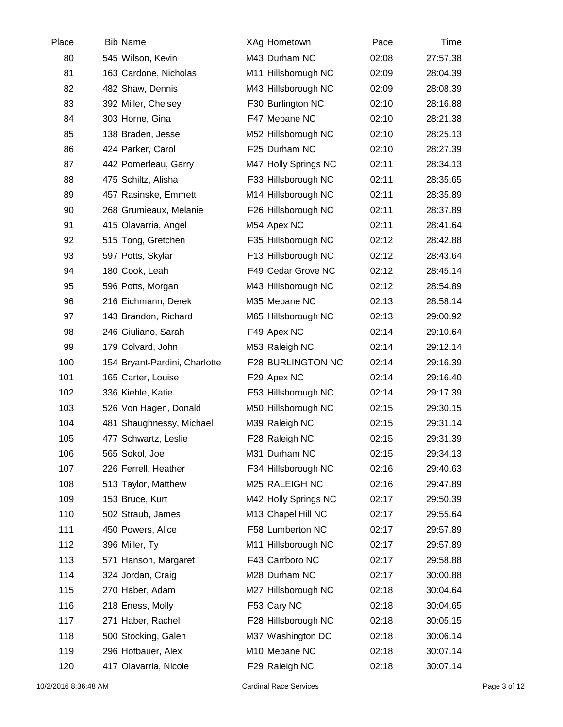| Place | <b>Bib Name</b>               | XAg Hometown             | Pace  | Time     |  |
|-------|-------------------------------|--------------------------|-------|----------|--|
| 80    | 545 Wilson, Kevin             | M43 Durham NC            | 02:08 | 27:57.38 |  |
| 81    | 163 Cardone, Nicholas         | M11 Hillsborough NC      | 02:09 | 28:04.39 |  |
| 82    | 482 Shaw, Dennis              | M43 Hillsborough NC      | 02:09 | 28:08.39 |  |
| 83    | 392 Miller, Chelsey           | F30 Burlington NC        | 02:10 | 28:16.88 |  |
| 84    | 303 Horne, Gina               | F47 Mebane NC            | 02:10 | 28:21.38 |  |
| 85    | 138 Braden, Jesse             | M52 Hillsborough NC      | 02:10 | 28:25.13 |  |
| 86    | 424 Parker, Carol             | F25 Durham NC            | 02:10 | 28:27.39 |  |
| 87    | 442 Pomerleau, Garry          | M47 Holly Springs NC     | 02:11 | 28:34.13 |  |
| 88    | 475 Schiltz, Alisha           | F33 Hillsborough NC      | 02:11 | 28:35.65 |  |
| 89    | 457 Rasinske, Emmett          | M14 Hillsborough NC      | 02:11 | 28:35.89 |  |
| 90    | 268 Grumieaux, Melanie        | F26 Hillsborough NC      | 02:11 | 28:37.89 |  |
| 91    | 415 Olavarria, Angel          | M54 Apex NC              | 02:11 | 28:41.64 |  |
| 92    | 515 Tong, Gretchen            | F35 Hillsborough NC      | 02:12 | 28:42.88 |  |
| 93    | 597 Potts, Skylar             | F13 Hillsborough NC      | 02:12 | 28:43.64 |  |
| 94    | 180 Cook, Leah                | F49 Cedar Grove NC       | 02:12 | 28:45.14 |  |
| 95    | 596 Potts, Morgan             | M43 Hillsborough NC      | 02:12 | 28:54.89 |  |
| 96    | 216 Eichmann, Derek           | M35 Mebane NC            | 02:13 | 28:58.14 |  |
| 97    | 143 Brandon, Richard          | M65 Hillsborough NC      | 02:13 | 29:00.92 |  |
| 98    | 246 Giuliano, Sarah           | F49 Apex NC              | 02:14 | 29:10.64 |  |
| 99    | 179 Colvard, John             | M53 Raleigh NC           | 02:14 | 29:12.14 |  |
| 100   | 154 Bryant-Pardini, Charlotte | <b>F28 BURLINGTON NC</b> | 02:14 | 29:16.39 |  |
| 101   | 165 Carter, Louise            | F29 Apex NC              | 02:14 | 29:16.40 |  |
| 102   | 336 Kiehle, Katie             | F53 Hillsborough NC      | 02:14 | 29:17.39 |  |
| 103   | 526 Von Hagen, Donald         | M50 Hillsborough NC      | 02:15 | 29:30.15 |  |
| 104   | 481 Shaughnessy, Michael      | M39 Raleigh NC           | 02:15 | 29:31.14 |  |
| 105   | 477 Schwartz, Leslie          | F28 Raleigh NC           | 02:15 | 29:31.39 |  |
| 106   | 565 Sokol, Joe                | M31 Durham NC            | 02:15 | 29:34.13 |  |
| 107   | 226 Ferrell, Heather          | F34 Hillsborough NC      | 02:16 | 29:40.63 |  |
| 108   | 513 Taylor, Matthew           | M25 RALEIGH NC           | 02:16 | 29:47.89 |  |
| 109   | 153 Bruce, Kurt               | M42 Holly Springs NC     | 02:17 | 29:50.39 |  |
| 110   | 502 Straub, James             | M13 Chapel Hill NC       | 02:17 | 29:55.64 |  |
| 111   | 450 Powers, Alice             | F58 Lumberton NC         | 02:17 | 29:57.89 |  |
| 112   | 396 Miller, Ty                | M11 Hillsborough NC      | 02:17 | 29:57.89 |  |
| 113   | 571 Hanson, Margaret          | F43 Carrboro NC          | 02:17 | 29:58.88 |  |
| 114   | 324 Jordan, Craig             | M28 Durham NC            | 02:17 | 30:00.88 |  |
| 115   | 270 Haber, Adam               | M27 Hillsborough NC      | 02:18 | 30:04.64 |  |
| 116   | 218 Eness, Molly              | F53 Cary NC              | 02:18 | 30:04.65 |  |
| 117   | 271 Haber, Rachel             | F28 Hillsborough NC      | 02:18 | 30:05.15 |  |
| 118   | 500 Stocking, Galen           | M37 Washington DC        | 02:18 | 30:06.14 |  |
| 119   | 296 Hofbauer, Alex            | M10 Mebane NC            | 02:18 | 30:07.14 |  |
| 120   | 417 Olavarria, Nicole         | F29 Raleigh NC           | 02:18 | 30:07.14 |  |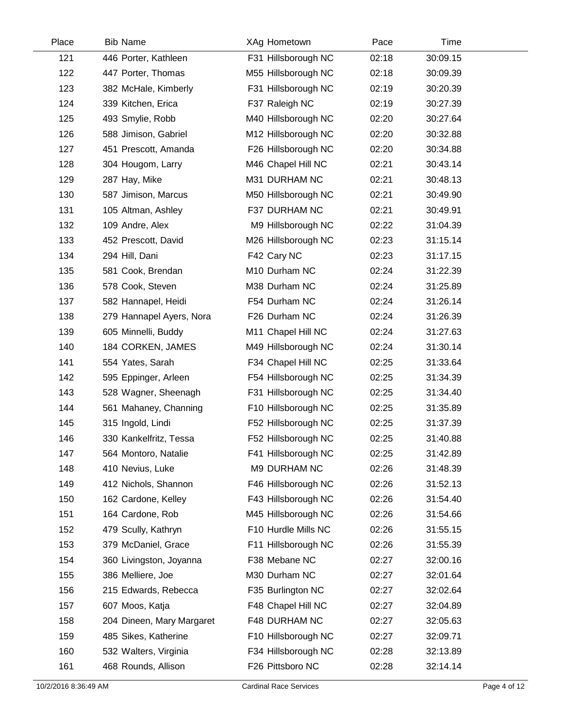| Place | <b>Bib Name</b>           | XAg Hometown        | Pace  | Time     |  |
|-------|---------------------------|---------------------|-------|----------|--|
| 121   | 446 Porter, Kathleen      | F31 Hillsborough NC | 02:18 | 30:09.15 |  |
| 122   | 447 Porter, Thomas        | M55 Hillsborough NC | 02:18 | 30:09.39 |  |
| 123   | 382 McHale, Kimberly      | F31 Hillsborough NC | 02:19 | 30:20.39 |  |
| 124   | 339 Kitchen, Erica        | F37 Raleigh NC      | 02:19 | 30:27.39 |  |
| 125   | 493 Smylie, Robb          | M40 Hillsborough NC | 02:20 | 30:27.64 |  |
| 126   | 588 Jimison, Gabriel      | M12 Hillsborough NC | 02:20 | 30:32.88 |  |
| 127   | 451 Prescott, Amanda      | F26 Hillsborough NC | 02:20 | 30:34.88 |  |
| 128   | 304 Hougom, Larry         | M46 Chapel Hill NC  | 02:21 | 30:43.14 |  |
| 129   | 287 Hay, Mike             | M31 DURHAM NC       | 02:21 | 30:48.13 |  |
| 130   | 587 Jimison, Marcus       | M50 Hillsborough NC | 02:21 | 30:49.90 |  |
| 131   | 105 Altman, Ashley        | F37 DURHAM NC       | 02:21 | 30:49.91 |  |
| 132   | 109 Andre, Alex           | M9 Hillsborough NC  | 02:22 | 31:04.39 |  |
| 133   | 452 Prescott, David       | M26 Hillsborough NC | 02:23 | 31:15.14 |  |
| 134   | 294 Hill, Dani            | F42 Cary NC         | 02:23 | 31:17.15 |  |
| 135   | 581 Cook, Brendan         | M10 Durham NC       | 02:24 | 31:22.39 |  |
| 136   | 578 Cook, Steven          | M38 Durham NC       | 02:24 | 31:25.89 |  |
| 137   | 582 Hannapel, Heidi       | F54 Durham NC       | 02:24 | 31:26.14 |  |
| 138   | 279 Hannapel Ayers, Nora  | F26 Durham NC       | 02:24 | 31:26.39 |  |
| 139   | 605 Minnelli, Buddy       | M11 Chapel Hill NC  | 02:24 | 31:27.63 |  |
| 140   | 184 CORKEN, JAMES         | M49 Hillsborough NC | 02:24 | 31:30.14 |  |
| 141   | 554 Yates, Sarah          | F34 Chapel Hill NC  | 02:25 | 31:33.64 |  |
| 142   | 595 Eppinger, Arleen      | F54 Hillsborough NC | 02:25 | 31:34.39 |  |
| 143   | 528 Wagner, Sheenagh      | F31 Hillsborough NC | 02:25 | 31:34.40 |  |
| 144   | 561 Mahaney, Channing     | F10 Hillsborough NC | 02:25 | 31:35.89 |  |
| 145   | 315 Ingold, Lindi         | F52 Hillsborough NC | 02:25 | 31:37.39 |  |
| 146   | 330 Kankelfritz, Tessa    | F52 Hillsborough NC | 02:25 | 31:40.88 |  |
| 147   | 564 Montoro, Natalie      | F41 Hillsborough NC | 02:25 | 31:42.89 |  |
| 148   | 410 Nevius, Luke          | M9 DURHAM NC        | 02:26 | 31:48.39 |  |
| 149   | 412 Nichols, Shannon      | F46 Hillsborough NC | 02:26 | 31:52.13 |  |
| 150   | 162 Cardone, Kelley       | F43 Hillsborough NC | 02:26 | 31:54.40 |  |
| 151   | 164 Cardone, Rob          | M45 Hillsborough NC | 02:26 | 31:54.66 |  |
| 152   | 479 Scully, Kathryn       | F10 Hurdle Mills NC | 02:26 | 31:55.15 |  |
| 153   | 379 McDaniel, Grace       | F11 Hillsborough NC | 02:26 | 31:55.39 |  |
| 154   | 360 Livingston, Joyanna   | F38 Mebane NC       | 02:27 | 32:00.16 |  |
| 155   | 386 Melliere, Joe         | M30 Durham NC       | 02:27 | 32:01.64 |  |
| 156   | 215 Edwards, Rebecca      | F35 Burlington NC   | 02:27 | 32:02.64 |  |
| 157   | 607 Moos, Katja           | F48 Chapel Hill NC  | 02:27 | 32:04.89 |  |
| 158   | 204 Dineen, Mary Margaret | F48 DURHAM NC       | 02:27 | 32:05.63 |  |
| 159   | 485 Sikes, Katherine      | F10 Hillsborough NC | 02:27 | 32:09.71 |  |
| 160   | 532 Walters, Virginia     | F34 Hillsborough NC | 02:28 | 32:13.89 |  |
| 161   | 468 Rounds, Allison       | F26 Pittsboro NC    | 02:28 | 32:14.14 |  |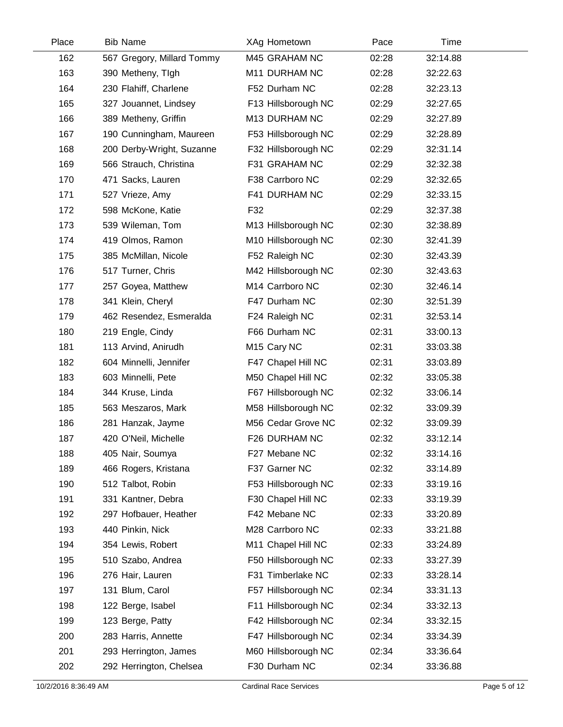| Place | <b>Bib Name</b>            | XAg Hometown            | Pace  | Time     |  |
|-------|----------------------------|-------------------------|-------|----------|--|
| 162   | 567 Gregory, Millard Tommy | M45 GRAHAM NC           | 02:28 | 32:14.88 |  |
| 163   | 390 Metheny, Tigh          | M11 DURHAM NC           | 02:28 | 32:22.63 |  |
| 164   | 230 Flahiff, Charlene      | F52 Durham NC           | 02:28 | 32:23.13 |  |
| 165   | 327 Jouannet, Lindsey      | F13 Hillsborough NC     | 02:29 | 32:27.65 |  |
| 166   | 389 Metheny, Griffin       | M13 DURHAM NC           | 02:29 | 32:27.89 |  |
| 167   | 190 Cunningham, Maureen    | F53 Hillsborough NC     | 02:29 | 32:28.89 |  |
| 168   | 200 Derby-Wright, Suzanne  | F32 Hillsborough NC     | 02:29 | 32:31.14 |  |
| 169   | 566 Strauch, Christina     | F31 GRAHAM NC           | 02:29 | 32:32.38 |  |
| 170   | 471 Sacks, Lauren          | F38 Carrboro NC         | 02:29 | 32:32.65 |  |
| 171   | 527 Vrieze, Amy            | F41 DURHAM NC           | 02:29 | 32:33.15 |  |
| 172   | 598 McKone, Katie          | F32                     | 02:29 | 32:37.38 |  |
| 173   | 539 Wileman, Tom           | M13 Hillsborough NC     | 02:30 | 32:38.89 |  |
| 174   | 419 Olmos, Ramon           | M10 Hillsborough NC     | 02:30 | 32:41.39 |  |
| 175   | 385 McMillan, Nicole       | F52 Raleigh NC          | 02:30 | 32:43.39 |  |
| 176   | 517 Turner, Chris          | M42 Hillsborough NC     | 02:30 | 32:43.63 |  |
| 177   | 257 Goyea, Matthew         | M14 Carrboro NC         | 02:30 | 32:46.14 |  |
| 178   | 341 Klein, Cheryl          | F47 Durham NC           | 02:30 | 32:51.39 |  |
| 179   | 462 Resendez, Esmeralda    | F24 Raleigh NC          | 02:31 | 32:53.14 |  |
| 180   | 219 Engle, Cindy           | F66 Durham NC           | 02:31 | 33:00.13 |  |
| 181   | 113 Arvind, Anirudh        | M <sub>15</sub> Cary NC | 02:31 | 33:03.38 |  |
| 182   | 604 Minnelli, Jennifer     | F47 Chapel Hill NC      | 02:31 | 33:03.89 |  |
| 183   | 603 Minnelli, Pete         | M50 Chapel Hill NC      | 02:32 | 33:05.38 |  |
| 184   | 344 Kruse, Linda           | F67 Hillsborough NC     | 02:32 | 33:06.14 |  |
| 185   | 563 Meszaros, Mark         | M58 Hillsborough NC     | 02:32 | 33:09.39 |  |
| 186   | 281 Hanzak, Jayme          | M56 Cedar Grove NC      | 02:32 | 33:09.39 |  |
| 187   | 420 O'Neil, Michelle       | F26 DURHAM NC           | 02:32 | 33:12.14 |  |
| 188   | 405 Nair, Soumya           | F27 Mebane NC           | 02:32 | 33:14.16 |  |
| 189   | 466 Rogers, Kristana       | F37 Garner NC           | 02:32 | 33:14.89 |  |
| 190   | 512 Talbot, Robin          | F53 Hillsborough NC     | 02:33 | 33:19.16 |  |
| 191   | 331 Kantner, Debra         | F30 Chapel Hill NC      | 02:33 | 33:19.39 |  |
| 192   | 297 Hofbauer, Heather      | F42 Mebane NC           | 02:33 | 33:20.89 |  |
| 193   | 440 Pinkin, Nick           | M28 Carrboro NC         | 02:33 | 33:21.88 |  |
| 194   | 354 Lewis, Robert          | M11 Chapel Hill NC      | 02:33 | 33:24.89 |  |
| 195   | 510 Szabo, Andrea          | F50 Hillsborough NC     | 02:33 | 33:27.39 |  |
| 196   | 276 Hair, Lauren           | F31 Timberlake NC       | 02:33 | 33:28.14 |  |
| 197   | 131 Blum, Carol            | F57 Hillsborough NC     | 02:34 | 33:31.13 |  |
| 198   | 122 Berge, Isabel          | F11 Hillsborough NC     | 02:34 | 33:32.13 |  |
| 199   | 123 Berge, Patty           | F42 Hillsborough NC     | 02:34 | 33:32.15 |  |
| 200   | 283 Harris, Annette        | F47 Hillsborough NC     | 02:34 | 33:34.39 |  |
| 201   | 293 Herrington, James      | M60 Hillsborough NC     | 02:34 | 33:36.64 |  |
| 202   | 292 Herrington, Chelsea    | F30 Durham NC           | 02:34 | 33:36.88 |  |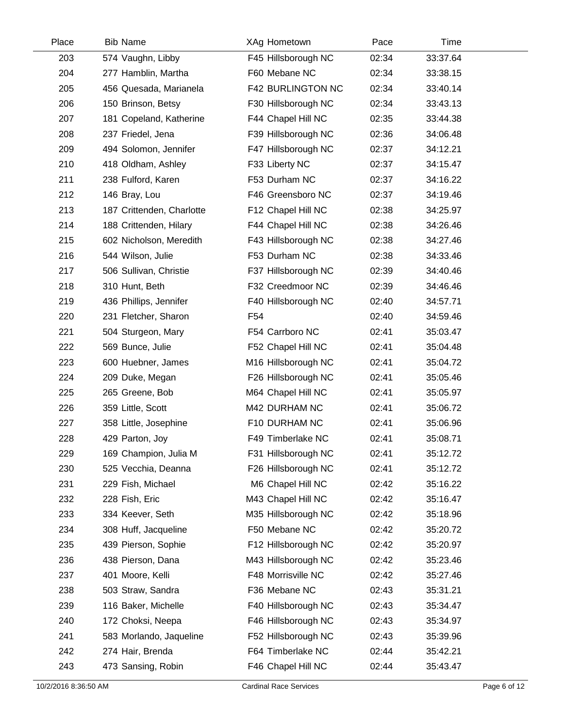| Place | <b>Bib Name</b>           | XAg Hometown             | Pace  | Time     |  |
|-------|---------------------------|--------------------------|-------|----------|--|
| 203   | 574 Vaughn, Libby         | F45 Hillsborough NC      | 02:34 | 33:37.64 |  |
| 204   | 277 Hamblin, Martha       | F60 Mebane NC            | 02:34 | 33:38.15 |  |
| 205   | 456 Quesada, Marianela    | <b>F42 BURLINGTON NC</b> | 02:34 | 33:40.14 |  |
| 206   | 150 Brinson, Betsy        | F30 Hillsborough NC      | 02:34 | 33:43.13 |  |
| 207   | 181 Copeland, Katherine   | F44 Chapel Hill NC       | 02:35 | 33:44.38 |  |
| 208   | 237 Friedel, Jena         | F39 Hillsborough NC      | 02:36 | 34:06.48 |  |
| 209   | 494 Solomon, Jennifer     | F47 Hillsborough NC      | 02:37 | 34:12.21 |  |
| 210   | 418 Oldham, Ashley        | F33 Liberty NC           | 02:37 | 34:15.47 |  |
| 211   | 238 Fulford, Karen        | F53 Durham NC            | 02:37 | 34:16.22 |  |
| 212   | 146 Bray, Lou             | F46 Greensboro NC        | 02:37 | 34:19.46 |  |
| 213   | 187 Crittenden, Charlotte | F12 Chapel Hill NC       | 02:38 | 34:25.97 |  |
| 214   | 188 Crittenden, Hilary    | F44 Chapel Hill NC       | 02:38 | 34:26.46 |  |
| 215   | 602 Nicholson, Meredith   | F43 Hillsborough NC      | 02:38 | 34:27.46 |  |
| 216   | 544 Wilson, Julie         | F53 Durham NC            | 02:38 | 34:33.46 |  |
| 217   | 506 Sullivan, Christie    | F37 Hillsborough NC      | 02:39 | 34:40.46 |  |
| 218   | 310 Hunt, Beth            | F32 Creedmoor NC         | 02:39 | 34:46.46 |  |
| 219   | 436 Phillips, Jennifer    | F40 Hillsborough NC      | 02:40 | 34:57.71 |  |
| 220   | 231 Fletcher, Sharon      | F <sub>54</sub>          | 02:40 | 34:59.46 |  |
| 221   | 504 Sturgeon, Mary        | F54 Carrboro NC          | 02:41 | 35:03.47 |  |
| 222   | 569 Bunce, Julie          | F52 Chapel Hill NC       | 02:41 | 35:04.48 |  |
| 223   | 600 Huebner, James        | M16 Hillsborough NC      | 02:41 | 35:04.72 |  |
| 224   | 209 Duke, Megan           | F26 Hillsborough NC      | 02:41 | 35:05.46 |  |
| 225   | 265 Greene, Bob           | M64 Chapel Hill NC       | 02:41 | 35:05.97 |  |
| 226   | 359 Little, Scott         | M42 DURHAM NC            | 02:41 | 35:06.72 |  |
| 227   | 358 Little, Josephine     | F10 DURHAM NC            | 02:41 | 35:06.96 |  |
| 228   | 429 Parton, Joy           | F49 Timberlake NC        | 02:41 | 35:08.71 |  |
| 229   | 169 Champion, Julia M     | F31 Hillsborough NC      | 02:41 | 35:12.72 |  |
| 230   | 525 Vecchia, Deanna       | F26 Hillsborough NC      | 02:41 | 35:12.72 |  |
| 231   | 229 Fish, Michael         | M6 Chapel Hill NC        | 02:42 | 35:16.22 |  |
| 232   | 228 Fish, Eric            | M43 Chapel Hill NC       | 02:42 | 35:16.47 |  |
| 233   | 334 Keever, Seth          | M35 Hillsborough NC      | 02:42 | 35:18.96 |  |
| 234   | 308 Huff, Jacqueline      | F50 Mebane NC            | 02:42 | 35:20.72 |  |
| 235   | 439 Pierson, Sophie       | F12 Hillsborough NC      | 02:42 | 35:20.97 |  |
| 236   | 438 Pierson, Dana         | M43 Hillsborough NC      | 02:42 | 35:23.46 |  |
| 237   | 401 Moore, Kelli          | F48 Morrisville NC       | 02:42 | 35:27.46 |  |
| 238   | 503 Straw, Sandra         | F36 Mebane NC            | 02:43 | 35:31.21 |  |
| 239   | 116 Baker, Michelle       | F40 Hillsborough NC      | 02:43 | 35:34.47 |  |
| 240   | 172 Choksi, Neepa         | F46 Hillsborough NC      | 02:43 | 35:34.97 |  |
| 241   | 583 Morlando, Jaqueline   | F52 Hillsborough NC      | 02:43 | 35:39.96 |  |
| 242   | 274 Hair, Brenda          | F64 Timberlake NC        | 02:44 | 35:42.21 |  |
| 243   | 473 Sansing, Robin        | F46 Chapel Hill NC       | 02:44 | 35:43.47 |  |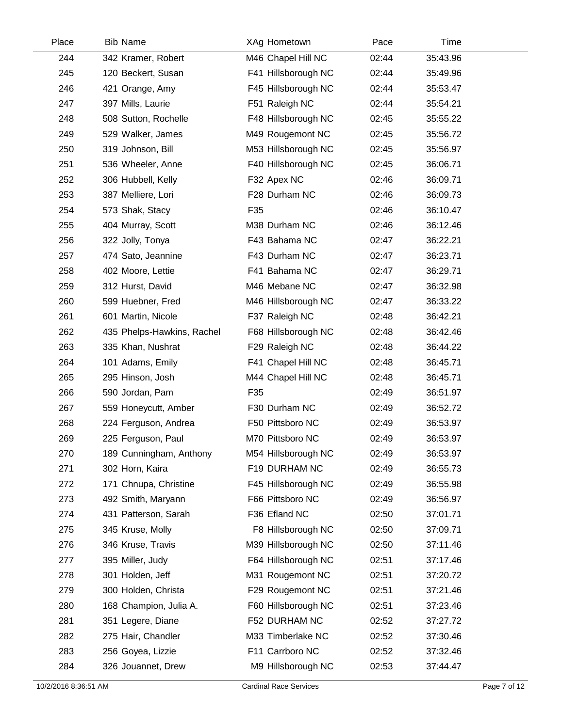| Place | <b>Bib Name</b>            | XAg Hometown        | Pace  | Time     |  |
|-------|----------------------------|---------------------|-------|----------|--|
| 244   | 342 Kramer, Robert         | M46 Chapel Hill NC  | 02:44 | 35:43.96 |  |
| 245   | 120 Beckert, Susan         | F41 Hillsborough NC | 02:44 | 35:49.96 |  |
| 246   | 421 Orange, Amy            | F45 Hillsborough NC | 02:44 | 35:53.47 |  |
| 247   | 397 Mills, Laurie          | F51 Raleigh NC      | 02:44 | 35:54.21 |  |
| 248   | 508 Sutton, Rochelle       | F48 Hillsborough NC | 02:45 | 35:55.22 |  |
| 249   | 529 Walker, James          | M49 Rougemont NC    | 02:45 | 35:56.72 |  |
| 250   | 319 Johnson, Bill          | M53 Hillsborough NC | 02:45 | 35:56.97 |  |
| 251   | 536 Wheeler, Anne          | F40 Hillsborough NC | 02:45 | 36:06.71 |  |
| 252   | 306 Hubbell, Kelly         | F32 Apex NC         | 02:46 | 36:09.71 |  |
| 253   | 387 Melliere, Lori         | F28 Durham NC       | 02:46 | 36:09.73 |  |
| 254   | 573 Shak, Stacy            | F35                 | 02:46 | 36:10.47 |  |
| 255   | 404 Murray, Scott          | M38 Durham NC       | 02:46 | 36:12.46 |  |
| 256   | 322 Jolly, Tonya           | F43 Bahama NC       | 02:47 | 36:22.21 |  |
| 257   | 474 Sato, Jeannine         | F43 Durham NC       | 02:47 | 36:23.71 |  |
| 258   | 402 Moore, Lettie          | F41 Bahama NC       | 02:47 | 36:29.71 |  |
| 259   | 312 Hurst, David           | M46 Mebane NC       | 02:47 | 36:32.98 |  |
| 260   | 599 Huebner, Fred          | M46 Hillsborough NC | 02:47 | 36:33.22 |  |
| 261   | 601 Martin, Nicole         | F37 Raleigh NC      | 02:48 | 36:42.21 |  |
| 262   | 435 Phelps-Hawkins, Rachel | F68 Hillsborough NC | 02:48 | 36:42.46 |  |
| 263   | 335 Khan, Nushrat          | F29 Raleigh NC      | 02:48 | 36:44.22 |  |
| 264   | 101 Adams, Emily           | F41 Chapel Hill NC  | 02:48 | 36:45.71 |  |
| 265   | 295 Hinson, Josh           | M44 Chapel Hill NC  | 02:48 | 36:45.71 |  |
| 266   | 590 Jordan, Pam            | F35                 | 02:49 | 36:51.97 |  |
| 267   | 559 Honeycutt, Amber       | F30 Durham NC       | 02:49 | 36:52.72 |  |
| 268   | 224 Ferguson, Andrea       | F50 Pittsboro NC    | 02:49 | 36:53.97 |  |
| 269   | 225 Ferguson, Paul         | M70 Pittsboro NC    | 02:49 | 36:53.97 |  |
| 270   | 189 Cunningham, Anthony    | M54 Hillsborough NC | 02:49 | 36:53.97 |  |
| 271   | 302 Horn, Kaira            | F19 DURHAM NC       | 02:49 | 36:55.73 |  |
| 272   | 171 Chnupa, Christine      | F45 Hillsborough NC | 02:49 | 36:55.98 |  |
| 273   | 492 Smith, Maryann         | F66 Pittsboro NC    | 02:49 | 36:56.97 |  |
| 274   | 431 Patterson, Sarah       | F36 Efland NC       | 02:50 | 37:01.71 |  |
| 275   | 345 Kruse, Molly           | F8 Hillsborough NC  | 02:50 | 37:09.71 |  |
| 276   | 346 Kruse, Travis          | M39 Hillsborough NC | 02:50 | 37:11.46 |  |
| 277   | 395 Miller, Judy           | F64 Hillsborough NC | 02:51 | 37:17.46 |  |
| 278   | 301 Holden, Jeff           | M31 Rougemont NC    | 02:51 | 37:20.72 |  |
| 279   | 300 Holden, Christa        | F29 Rougemont NC    | 02:51 | 37:21.46 |  |
| 280   | 168 Champion, Julia A.     | F60 Hillsborough NC | 02:51 | 37:23.46 |  |
| 281   | 351 Legere, Diane          | F52 DURHAM NC       | 02:52 | 37:27.72 |  |
| 282   | 275 Hair, Chandler         | M33 Timberlake NC   | 02:52 | 37:30.46 |  |
| 283   | 256 Goyea, Lizzie          | F11 Carrboro NC     | 02:52 | 37:32.46 |  |
| 284   | 326 Jouannet, Drew         | M9 Hillsborough NC  | 02:53 | 37:44.47 |  |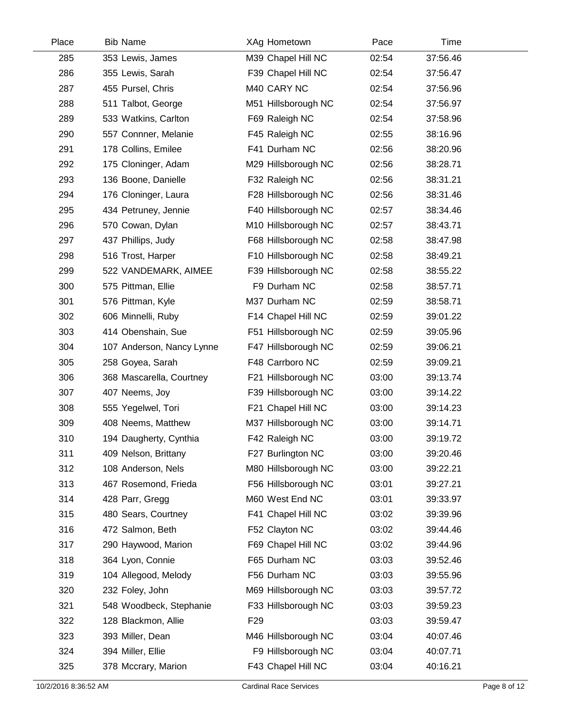| Place | <b>Bib Name</b>           | XAg Hometown        | Pace  | Time     |  |
|-------|---------------------------|---------------------|-------|----------|--|
| 285   | 353 Lewis, James          | M39 Chapel Hill NC  | 02:54 | 37:56.46 |  |
| 286   | 355 Lewis, Sarah          | F39 Chapel Hill NC  | 02:54 | 37:56.47 |  |
| 287   | 455 Pursel, Chris         | M40 CARY NC         | 02:54 | 37:56.96 |  |
| 288   | 511 Talbot, George        | M51 Hillsborough NC | 02:54 | 37:56.97 |  |
| 289   | 533 Watkins, Carlton      | F69 Raleigh NC      | 02:54 | 37:58.96 |  |
| 290   | 557 Connner, Melanie      | F45 Raleigh NC      | 02:55 | 38:16.96 |  |
| 291   | 178 Collins, Emilee       | F41 Durham NC       | 02:56 | 38:20.96 |  |
| 292   | 175 Cloninger, Adam       | M29 Hillsborough NC | 02:56 | 38:28.71 |  |
| 293   | 136 Boone, Danielle       | F32 Raleigh NC      | 02:56 | 38:31.21 |  |
| 294   | 176 Cloninger, Laura      | F28 Hillsborough NC | 02:56 | 38:31.46 |  |
| 295   | 434 Petruney, Jennie      | F40 Hillsborough NC | 02:57 | 38:34.46 |  |
| 296   | 570 Cowan, Dylan          | M10 Hillsborough NC | 02:57 | 38:43.71 |  |
| 297   | 437 Phillips, Judy        | F68 Hillsborough NC | 02:58 | 38:47.98 |  |
| 298   | 516 Trost, Harper         | F10 Hillsborough NC | 02:58 | 38:49.21 |  |
| 299   | 522 VANDEMARK, AIMEE      | F39 Hillsborough NC | 02:58 | 38:55.22 |  |
| 300   | 575 Pittman, Ellie        | F9 Durham NC        | 02:58 | 38:57.71 |  |
| 301   | 576 Pittman, Kyle         | M37 Durham NC       | 02:59 | 38:58.71 |  |
| 302   | 606 Minnelli, Ruby        | F14 Chapel Hill NC  | 02:59 | 39:01.22 |  |
| 303   | 414 Obenshain, Sue        | F51 Hillsborough NC | 02:59 | 39:05.96 |  |
| 304   | 107 Anderson, Nancy Lynne | F47 Hillsborough NC | 02:59 | 39:06.21 |  |
| 305   | 258 Goyea, Sarah          | F48 Carrboro NC     | 02:59 | 39:09.21 |  |
| 306   | 368 Mascarella, Courtney  | F21 Hillsborough NC | 03:00 | 39:13.74 |  |
| 307   | 407 Neems, Joy            | F39 Hillsborough NC | 03:00 | 39:14.22 |  |
| 308   | 555 Yegelwel, Tori        | F21 Chapel Hill NC  | 03:00 | 39:14.23 |  |
| 309   | 408 Neems, Matthew        | M37 Hillsborough NC | 03:00 | 39:14.71 |  |
| 310   | 194 Daugherty, Cynthia    | F42 Raleigh NC      | 03:00 | 39:19.72 |  |
| 311   | 409 Nelson, Brittany      | F27 Burlington NC   | 03:00 | 39:20.46 |  |
| 312   | 108 Anderson, Nels        | M80 Hillsborough NC | 03:00 | 39:22.21 |  |
| 313   | 467 Rosemond, Frieda      | F56 Hillsborough NC | 03:01 | 39:27.21 |  |
| 314   | 428 Parr, Gregg           | M60 West End NC     | 03:01 | 39:33.97 |  |
| 315   | 480 Sears, Courtney       | F41 Chapel Hill NC  | 03:02 | 39:39.96 |  |
| 316   | 472 Salmon, Beth          | F52 Clayton NC      | 03:02 | 39:44.46 |  |
| 317   | 290 Haywood, Marion       | F69 Chapel Hill NC  | 03:02 | 39:44.96 |  |
| 318   | 364 Lyon, Connie          | F65 Durham NC       | 03:03 | 39:52.46 |  |
| 319   | 104 Allegood, Melody      | F56 Durham NC       | 03:03 | 39:55.96 |  |
| 320   | 232 Foley, John           | M69 Hillsborough NC | 03:03 | 39:57.72 |  |
| 321   | 548 Woodbeck, Stephanie   | F33 Hillsborough NC | 03:03 | 39:59.23 |  |
| 322   | 128 Blackmon, Allie       | F <sub>29</sub>     | 03:03 | 39:59.47 |  |
| 323   | 393 Miller, Dean          | M46 Hillsborough NC | 03:04 | 40:07.46 |  |
| 324   | 394 Miller, Ellie         | F9 Hillsborough NC  | 03:04 | 40:07.71 |  |
| 325   | 378 Mccrary, Marion       | F43 Chapel Hill NC  | 03:04 | 40:16.21 |  |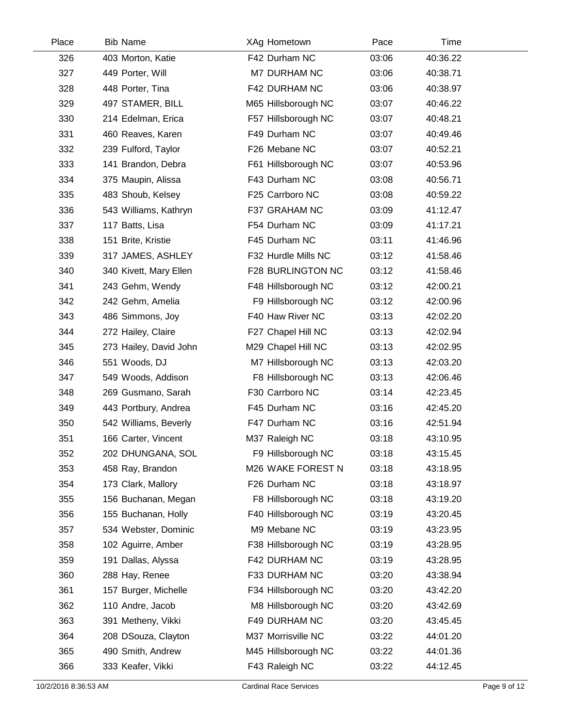| Place | <b>Bib Name</b>        | XAg Hometown        | Pace  | Time     |  |
|-------|------------------------|---------------------|-------|----------|--|
| 326   | 403 Morton, Katie      | F42 Durham NC       | 03:06 | 40:36.22 |  |
| 327   | 449 Porter, Will       | M7 DURHAM NC        | 03:06 | 40:38.71 |  |
| 328   | 448 Porter, Tina       | F42 DURHAM NC       | 03:06 | 40:38.97 |  |
| 329   | 497 STAMER, BILL       | M65 Hillsborough NC | 03:07 | 40:46.22 |  |
| 330   | 214 Edelman, Erica     | F57 Hillsborough NC | 03:07 | 40:48.21 |  |
| 331   | 460 Reaves, Karen      | F49 Durham NC       | 03:07 | 40:49.46 |  |
| 332   | 239 Fulford, Taylor    | F26 Mebane NC       | 03:07 | 40:52.21 |  |
| 333   | 141 Brandon, Debra     | F61 Hillsborough NC | 03:07 | 40:53.96 |  |
| 334   | 375 Maupin, Alissa     | F43 Durham NC       | 03:08 | 40:56.71 |  |
| 335   | 483 Shoub, Kelsey      | F25 Carrboro NC     | 03:08 | 40:59.22 |  |
| 336   | 543 Williams, Kathryn  | F37 GRAHAM NC       | 03:09 | 41:12.47 |  |
| 337   | 117 Batts, Lisa        | F54 Durham NC       | 03:09 | 41:17.21 |  |
| 338   | 151 Brite, Kristie     | F45 Durham NC       | 03:11 | 41:46.96 |  |
| 339   | 317 JAMES, ASHLEY      | F32 Hurdle Mills NC | 03:12 | 41:58.46 |  |
| 340   | 340 Kivett, Mary Ellen | F28 BURLINGTON NC   | 03:12 | 41:58.46 |  |
| 341   | 243 Gehm, Wendy        | F48 Hillsborough NC | 03:12 | 42:00.21 |  |
| 342   | 242 Gehm, Amelia       | F9 Hillsborough NC  | 03:12 | 42:00.96 |  |
| 343   | 486 Simmons, Joy       | F40 Haw River NC    | 03:13 | 42:02.20 |  |
| 344   | 272 Hailey, Claire     | F27 Chapel Hill NC  | 03:13 | 42:02.94 |  |
| 345   | 273 Hailey, David John | M29 Chapel Hill NC  | 03:13 | 42:02.95 |  |
| 346   | 551 Woods, DJ          | M7 Hillsborough NC  | 03:13 | 42:03.20 |  |
| 347   | 549 Woods, Addison     | F8 Hillsborough NC  | 03:13 | 42:06.46 |  |
| 348   | 269 Gusmano, Sarah     | F30 Carrboro NC     | 03:14 | 42:23.45 |  |
| 349   | 443 Portbury, Andrea   | F45 Durham NC       | 03:16 | 42:45.20 |  |
| 350   | 542 Williams, Beverly  | F47 Durham NC       | 03:16 | 42:51.94 |  |
| 351   | 166 Carter, Vincent    | M37 Raleigh NC      | 03:18 | 43:10.95 |  |
| 352   | 202 DHUNGANA, SOL      | F9 Hillsborough NC  | 03:18 | 43:15.45 |  |
| 353   | 458 Ray, Brandon       | M26 WAKE FOREST N   | 03:18 | 43:18.95 |  |
| 354   | 173 Clark, Mallory     | F26 Durham NC       | 03:18 | 43:18.97 |  |
| 355   | 156 Buchanan, Megan    | F8 Hillsborough NC  | 03:18 | 43:19.20 |  |
| 356   | 155 Buchanan, Holly    | F40 Hillsborough NC | 03:19 | 43:20.45 |  |
| 357   | 534 Webster, Dominic   | M9 Mebane NC        | 03:19 | 43:23.95 |  |
| 358   | 102 Aguirre, Amber     | F38 Hillsborough NC | 03:19 | 43:28.95 |  |
| 359   | 191 Dallas, Alyssa     | F42 DURHAM NC       | 03:19 | 43:28.95 |  |
| 360   | 288 Hay, Renee         | F33 DURHAM NC       | 03:20 | 43:38.94 |  |
| 361   | 157 Burger, Michelle   | F34 Hillsborough NC | 03:20 | 43:42.20 |  |
| 362   | 110 Andre, Jacob       | M8 Hillsborough NC  | 03:20 | 43:42.69 |  |
| 363   | 391 Metheny, Vikki     | F49 DURHAM NC       | 03:20 | 43:45.45 |  |
| 364   | 208 DSouza, Clayton    | M37 Morrisville NC  | 03:22 | 44:01.20 |  |
| 365   | 490 Smith, Andrew      | M45 Hillsborough NC | 03:22 | 44:01.36 |  |
| 366   | 333 Keafer, Vikki      | F43 Raleigh NC      | 03:22 | 44:12.45 |  |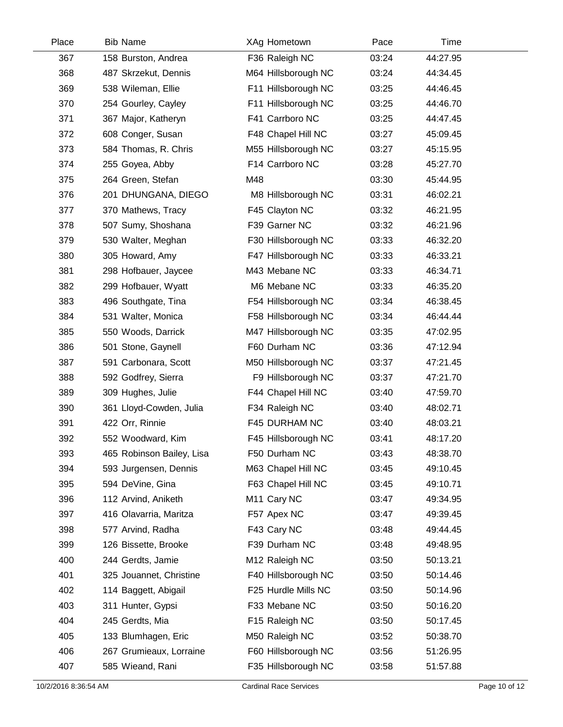| Place | <b>Bib Name</b>           | XAg Hometown            | Pace  | Time     |  |
|-------|---------------------------|-------------------------|-------|----------|--|
| 367   | 158 Burston, Andrea       | F36 Raleigh NC          | 03:24 | 44:27.95 |  |
| 368   | 487 Skrzekut, Dennis      | M64 Hillsborough NC     | 03:24 | 44:34.45 |  |
| 369   | 538 Wileman, Ellie        | F11 Hillsborough NC     | 03:25 | 44:46.45 |  |
| 370   | 254 Gourley, Cayley       | F11 Hillsborough NC     | 03:25 | 44:46.70 |  |
| 371   | 367 Major, Katheryn       | F41 Carrboro NC         | 03:25 | 44:47.45 |  |
| 372   | 608 Conger, Susan         | F48 Chapel Hill NC      | 03:27 | 45:09.45 |  |
| 373   | 584 Thomas, R. Chris      | M55 Hillsborough NC     | 03:27 | 45:15.95 |  |
| 374   | 255 Goyea, Abby           | F14 Carrboro NC         | 03:28 | 45:27.70 |  |
| 375   | 264 Green, Stefan         | M48                     | 03:30 | 45:44.95 |  |
| 376   | 201 DHUNGANA, DIEGO       | M8 Hillsborough NC      | 03:31 | 46:02.21 |  |
| 377   | 370 Mathews, Tracy        | F45 Clayton NC          | 03:32 | 46:21.95 |  |
| 378   | 507 Sumy, Shoshana        | F39 Garner NC           | 03:32 | 46:21.96 |  |
| 379   | 530 Walter, Meghan        | F30 Hillsborough NC     | 03:33 | 46:32.20 |  |
| 380   | 305 Howard, Amy           | F47 Hillsborough NC     | 03:33 | 46:33.21 |  |
| 381   | 298 Hofbauer, Jaycee      | M43 Mebane NC           | 03:33 | 46:34.71 |  |
| 382   | 299 Hofbauer, Wyatt       | M6 Mebane NC            | 03:33 | 46:35.20 |  |
| 383   | 496 Southgate, Tina       | F54 Hillsborough NC     | 03:34 | 46:38.45 |  |
| 384   | 531 Walter, Monica        | F58 Hillsborough NC     | 03:34 | 46:44.44 |  |
| 385   | 550 Woods, Darrick        | M47 Hillsborough NC     | 03:35 | 47:02.95 |  |
| 386   | 501 Stone, Gaynell        | F60 Durham NC           | 03:36 | 47:12.94 |  |
| 387   | 591 Carbonara, Scott      | M50 Hillsborough NC     | 03:37 | 47:21.45 |  |
| 388   | 592 Godfrey, Sierra       | F9 Hillsborough NC      | 03:37 | 47:21.70 |  |
| 389   | 309 Hughes, Julie         | F44 Chapel Hill NC      | 03:40 | 47:59.70 |  |
| 390   | 361 Lloyd-Cowden, Julia   | F34 Raleigh NC          | 03:40 | 48:02.71 |  |
| 391   | 422 Orr, Rinnie           | F45 DURHAM NC           | 03:40 | 48:03.21 |  |
| 392   | 552 Woodward, Kim         | F45 Hillsborough NC     | 03:41 | 48:17.20 |  |
| 393   | 465 Robinson Bailey, Lisa | F50 Durham NC           | 03:43 | 48:38.70 |  |
| 394   | 593 Jurgensen, Dennis     | M63 Chapel Hill NC      | 03:45 | 49:10.45 |  |
| 395   | 594 DeVine, Gina          | F63 Chapel Hill NC      | 03:45 | 49:10.71 |  |
| 396   | 112 Arvind, Aniketh       | M <sub>11</sub> Cary NC | 03:47 | 49:34.95 |  |
| 397   | 416 Olavarria, Maritza    | F57 Apex NC             | 03:47 | 49:39.45 |  |
| 398   | 577 Arvind, Radha         | F43 Cary NC             | 03:48 | 49:44.45 |  |
| 399   | 126 Bissette, Brooke      | F39 Durham NC           | 03:48 | 49:48.95 |  |
| 400   | 244 Gerdts, Jamie         | M12 Raleigh NC          | 03:50 | 50:13.21 |  |
| 401   | 325 Jouannet, Christine   | F40 Hillsborough NC     | 03:50 | 50:14.46 |  |
| 402   | 114 Baggett, Abigail      | F25 Hurdle Mills NC     | 03:50 | 50:14.96 |  |
| 403   | 311 Hunter, Gypsi         | F33 Mebane NC           | 03:50 | 50:16.20 |  |
| 404   | 245 Gerdts, Mia           | F15 Raleigh NC          | 03:50 | 50:17.45 |  |
| 405   | 133 Blumhagen, Eric       | M50 Raleigh NC          | 03:52 | 50:38.70 |  |
| 406   | 267 Grumieaux, Lorraine   | F60 Hillsborough NC     | 03:56 | 51:26.95 |  |
| 407   | 585 Wieand, Rani          | F35 Hillsborough NC     | 03:58 | 51:57.88 |  |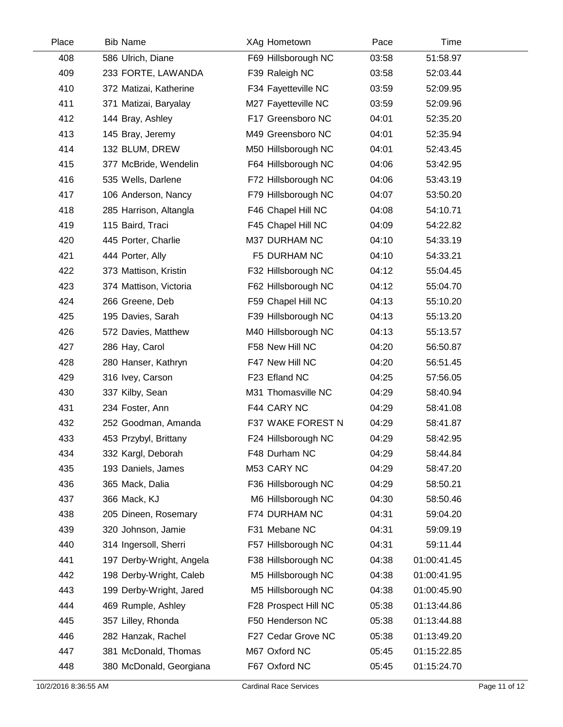| Place | <b>Bib Name</b>          | XAg Hometown         | Pace  | Time        |  |
|-------|--------------------------|----------------------|-------|-------------|--|
| 408   | 586 Ulrich, Diane        | F69 Hillsborough NC  | 03:58 | 51:58.97    |  |
| 409   | 233 FORTE, LAWANDA       | F39 Raleigh NC       | 03:58 | 52:03.44    |  |
| 410   | 372 Matizai, Katherine   | F34 Fayetteville NC  | 03:59 | 52:09.95    |  |
| 411   | 371 Matizai, Baryalay    | M27 Fayetteville NC  | 03:59 | 52:09.96    |  |
| 412   | 144 Bray, Ashley         | F17 Greensboro NC    | 04:01 | 52:35.20    |  |
| 413   | 145 Bray, Jeremy         | M49 Greensboro NC    | 04:01 | 52:35.94    |  |
| 414   | 132 BLUM, DREW           | M50 Hillsborough NC  | 04:01 | 52:43.45    |  |
| 415   | 377 McBride, Wendelin    | F64 Hillsborough NC  | 04:06 | 53:42.95    |  |
| 416   | 535 Wells, Darlene       | F72 Hillsborough NC  | 04:06 | 53:43.19    |  |
| 417   | 106 Anderson, Nancy      | F79 Hillsborough NC  | 04:07 | 53:50.20    |  |
| 418   | 285 Harrison, Altangla   | F46 Chapel Hill NC   | 04:08 | 54:10.71    |  |
| 419   | 115 Baird, Traci         | F45 Chapel Hill NC   | 04:09 | 54:22.82    |  |
| 420   | 445 Porter, Charlie      | M37 DURHAM NC        | 04:10 | 54:33.19    |  |
| 421   | 444 Porter, Ally         | F5 DURHAM NC         | 04:10 | 54:33.21    |  |
| 422   | 373 Mattison, Kristin    | F32 Hillsborough NC  | 04:12 | 55:04.45    |  |
| 423   | 374 Mattison, Victoria   | F62 Hillsborough NC  | 04:12 | 55:04.70    |  |
| 424   | 266 Greene, Deb          | F59 Chapel Hill NC   | 04:13 | 55:10.20    |  |
| 425   | 195 Davies, Sarah        | F39 Hillsborough NC  | 04:13 | 55:13.20    |  |
| 426   | 572 Davies, Matthew      | M40 Hillsborough NC  | 04:13 | 55:13.57    |  |
| 427   | 286 Hay, Carol           | F58 New Hill NC      | 04:20 | 56:50.87    |  |
| 428   | 280 Hanser, Kathryn      | F47 New Hill NC      | 04:20 | 56:51.45    |  |
| 429   | 316 Ivey, Carson         | F23 Efland NC        | 04:25 | 57:56.05    |  |
| 430   | 337 Kilby, Sean          | M31 Thomasville NC   | 04:29 | 58:40.94    |  |
| 431   | 234 Foster, Ann          | F44 CARY NC          | 04:29 | 58:41.08    |  |
| 432   | 252 Goodman, Amanda      | F37 WAKE FOREST N    | 04:29 | 58:41.87    |  |
| 433   | 453 Przybyl, Brittany    | F24 Hillsborough NC  | 04:29 | 58:42.95    |  |
| 434   | 332 Kargl, Deborah       | F48 Durham NC        | 04:29 | 58:44.84    |  |
| 435   | 193 Daniels, James       | M53 CARY NC          | 04:29 | 58:47.20    |  |
| 436   | 365 Mack, Dalia          | F36 Hillsborough NC  | 04:29 | 58:50.21    |  |
| 437   | 366 Mack, KJ             | M6 Hillsborough NC   | 04:30 | 58:50.46    |  |
| 438   | 205 Dineen, Rosemary     | F74 DURHAM NC        | 04:31 | 59:04.20    |  |
| 439   | 320 Johnson, Jamie       | F31 Mebane NC        | 04:31 | 59:09.19    |  |
| 440   | 314 Ingersoll, Sherri    | F57 Hillsborough NC  | 04:31 | 59:11.44    |  |
| 441   | 197 Derby-Wright, Angela | F38 Hillsborough NC  | 04:38 | 01:00:41.45 |  |
| 442   | 198 Derby-Wright, Caleb  | M5 Hillsborough NC   | 04:38 | 01:00:41.95 |  |
| 443   | 199 Derby-Wright, Jared  | M5 Hillsborough NC   | 04:38 | 01:00:45.90 |  |
| 444   | 469 Rumple, Ashley       | F28 Prospect Hill NC | 05:38 | 01:13:44.86 |  |
| 445   | 357 Lilley, Rhonda       | F50 Henderson NC     | 05:38 | 01:13:44.88 |  |
| 446   | 282 Hanzak, Rachel       | F27 Cedar Grove NC   | 05:38 | 01:13:49.20 |  |
| 447   | 381 McDonald, Thomas     | M67 Oxford NC        | 05:45 | 01:15:22.85 |  |
| 448   | 380 McDonald, Georgiana  | F67 Oxford NC        | 05:45 | 01:15:24.70 |  |

 $\overline{\phantom{0}}$